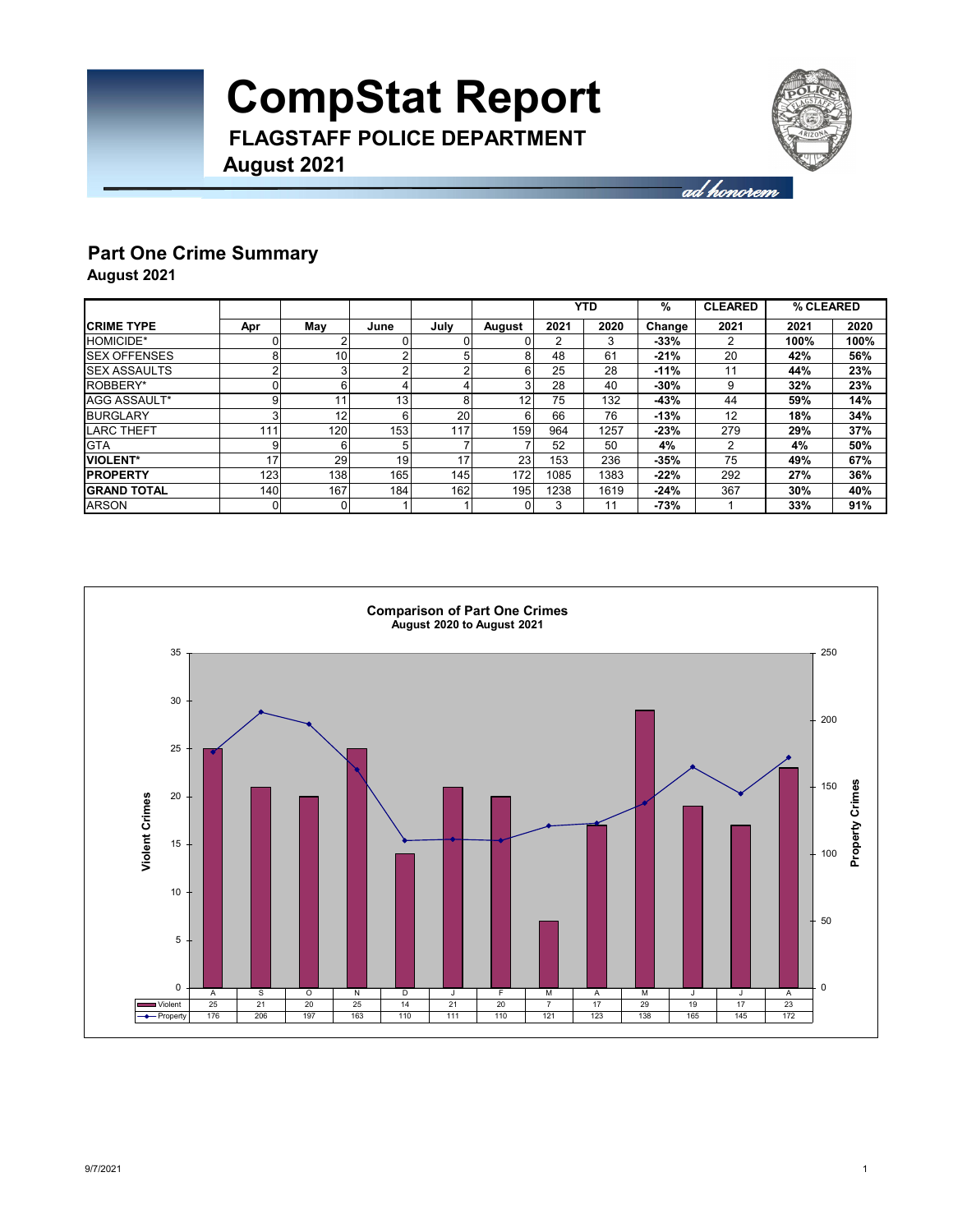

## **Part One Crime Summary**

**August 2021**

|                     |     |                 |                 |      |        |      | <b>YTD</b> | %      | <b>CLEARED</b> | % CLEARED |      |
|---------------------|-----|-----------------|-----------------|------|--------|------|------------|--------|----------------|-----------|------|
| <b>CRIME TYPE</b>   | Apr | May             | June            | Julv | August | 2021 | 2020       | Change | 2021           | 2021      | 2020 |
| <b>HOMICIDE*</b>    |     |                 |                 |      |        |      | 3          | $-33%$ | 2              | 100%      | 100% |
| <b>SEX OFFENSES</b> | 8   | 10 <sup>1</sup> | ⌒               |      | 8      | 48   | 61         | $-21%$ | 20             | 42%       | 56%  |
| <b>SEX ASSAULTS</b> |     | 3               |                 |      |        | 25   | 28         | $-11%$ | 11             | 44%       | 23%  |
| ROBBERY*            |     | 6               |                 |      |        | 28   | 40         | $-30%$ | 9              | 32%       | 23%  |
| AGG ASSAULT*        | 9   | -1              | 13 <sub>1</sub> | 8    | 12     | 75   | 132        | $-43%$ | 44             | 59%       | 14%  |
| <b>BURGLARY</b>     | 3   | 12              | 6               | 20   | 6      | 66   | 76         | $-13%$ | 12             | 18%       | 34%  |
| <b>LARC THEFT</b>   | 111 | 120             | 153             | 117  | 159    | 964  | 1257       | $-23%$ | 279            | 29%       | 37%  |
| <b>GTA</b>          | 9   | 6               | 5               |      |        | 52   | 50         | 4%     | 2              | 4%        | 50%  |
| <b>VIOLENT*</b>     | 17  | 29              | 19              | 17   | 23     | 153  | 236        | $-35%$ | 75             | 49%       | 67%  |
| <b>IPROPERTY</b>    | 123 | 138             | 165             | 145  | 172    | 1085 | 1383       | $-22%$ | 292            | 27%       | 36%  |
| <b>IGRAND TOTAL</b> | 140 | 167             | 184             | 162  | 195    | 1238 | 1619       | $-24%$ | 367            | 30%       | 40%  |
| <b>ARSON</b>        | 0   | 0               |                 |      |        | 3    | 11         | $-73%$ |                | 33%       | 91%  |

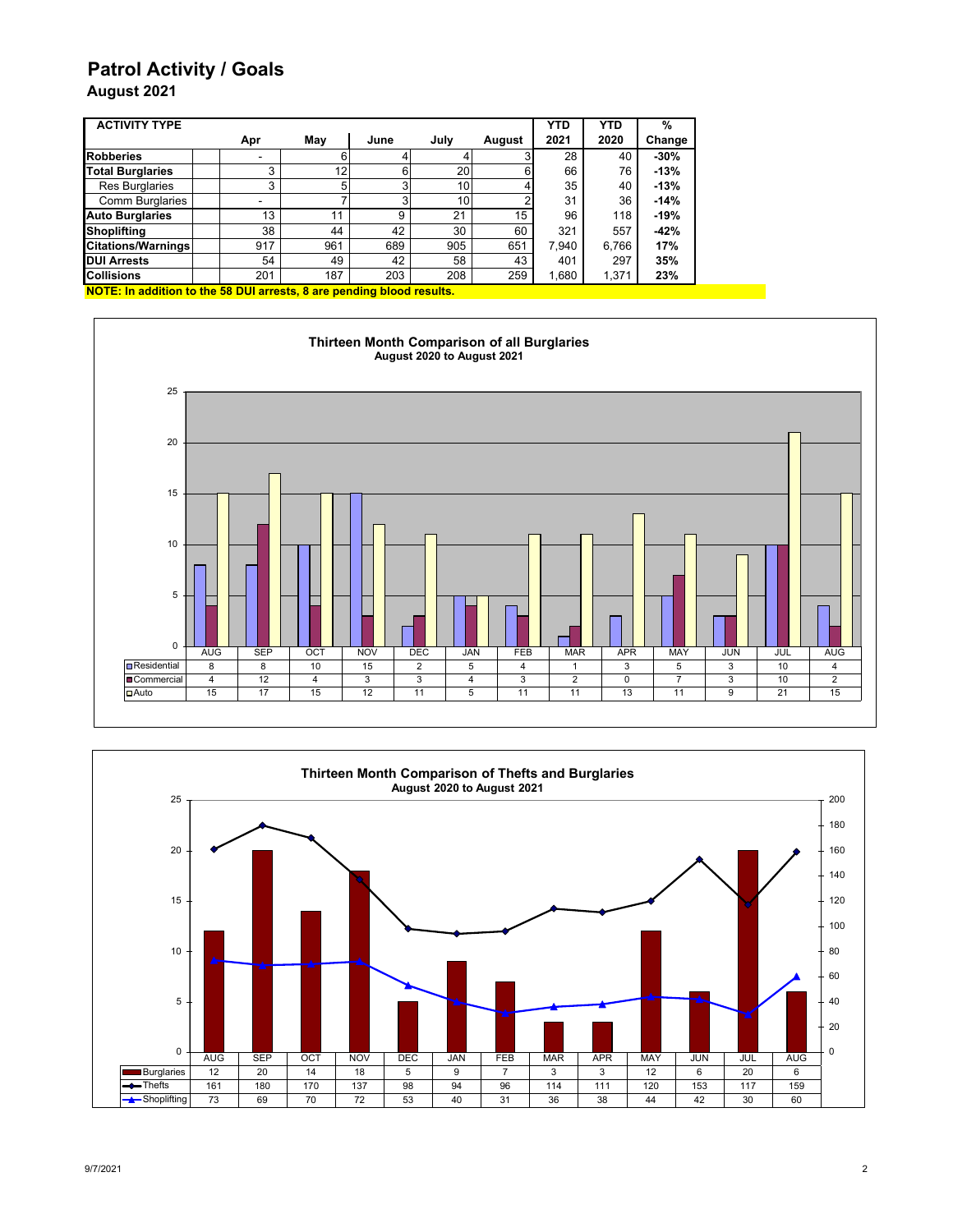### **Patrol Activity / Goals**

**August 2021**

| <b>ACTIVITY TYPE</b>                                                  |  |     |                 |          |      |        | <b>YTD</b> | <b>YTD</b> | %      |
|-----------------------------------------------------------------------|--|-----|-----------------|----------|------|--------|------------|------------|--------|
|                                                                       |  | Apr | May             | June     | July | August | 2021       | 2020       | Change |
| Robberies                                                             |  |     |                 |          |      |        | 28         | 40         | $-30%$ |
| <b>Total Burglaries</b>                                               |  | 3   | 12 <sub>l</sub> | 6        | 20   | 6      | 66         | 76         | $-13%$ |
| <b>Res Burglaries</b>                                                 |  | 3   | 5               | 3        | 10   |        | 35         | 40         | $-13%$ |
| <b>Comm Burglaries</b>                                                |  |     |                 | $\Omega$ | 10   |        | 31         | 36         | $-14%$ |
| <b>Auto Burglaries</b>                                                |  | 13  | 11              | 9        | 21   | 15     | 96         | 118        | $-19%$ |
| Shoplifting                                                           |  | 38  | 44              | 42       | 30   | 60     | 321        | 557        | $-42%$ |
| <b>Citations/Warnings</b>                                             |  | 917 | 961             | 689      | 905  | 651    | 7.940      | 6.766      | 17%    |
| <b>DUI Arrests</b>                                                    |  | 54  | 49              | 42       | 58   | 43     | 401        | 297        | 35%    |
| <b>Collisions</b>                                                     |  | 201 | 187             | 203      | 208  | 259    | 1,680      | 1,371      | 23%    |
| NOTE: In addition to the 50 Dill expects. B are nonding blood requite |  |     |                 |          |      |        |            |            |        |

**NOTE: In addition to the 58 DUI arrests, 8 are pending blood results.**



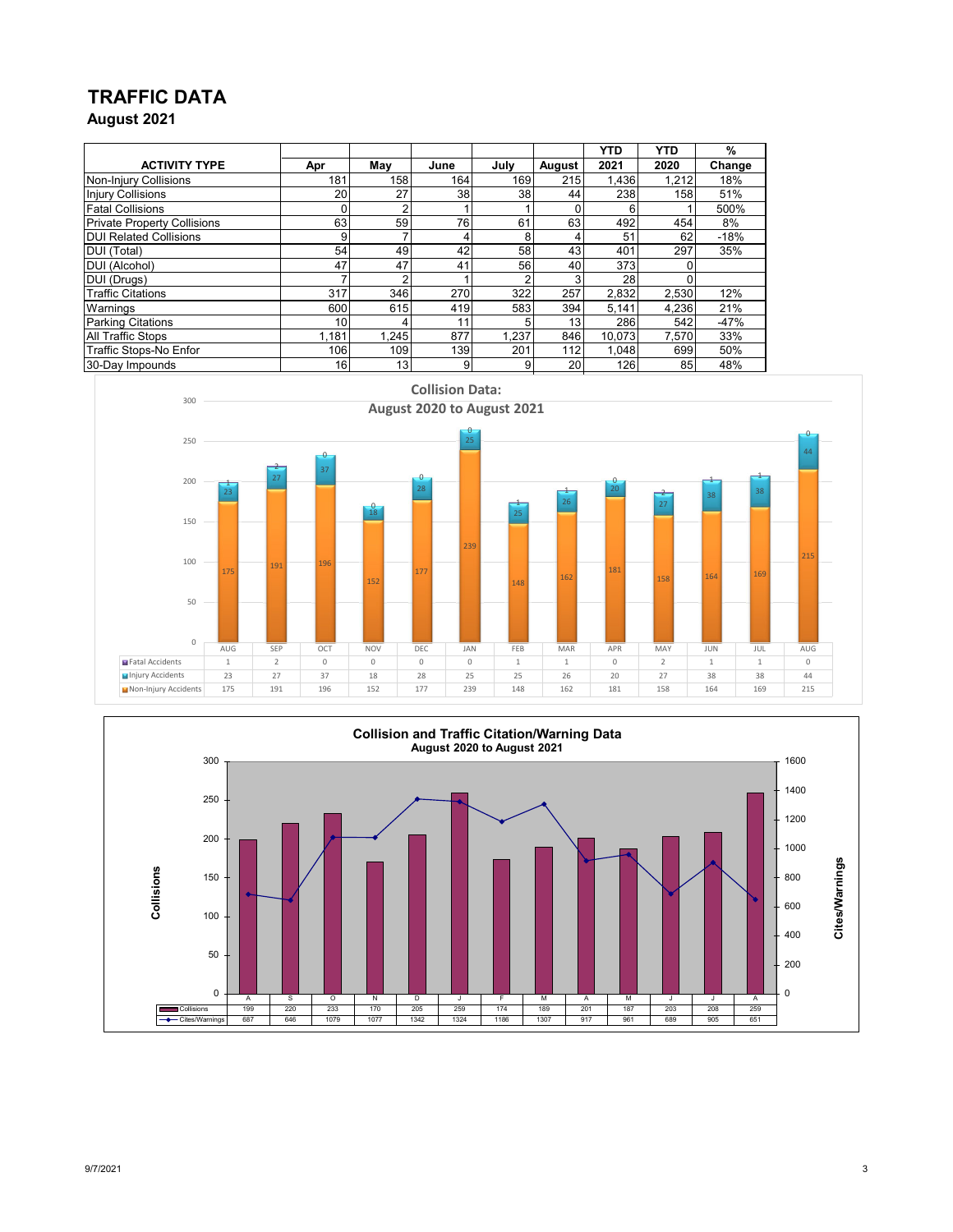## **TRAFFIC DATA**

**August 2021**

|                                    |       |       |      |       |                 | <b>YTD</b> | <b>YTD</b> | %      |
|------------------------------------|-------|-------|------|-------|-----------------|------------|------------|--------|
| <b>ACTIVITY TYPE</b>               | Apr   | Mav   | June | July  | August          | 2021       | 2020       | Change |
| Non-Injury Collisions              | 181   | 158   | 164  | 169   | 215             | 1,436      | 1,212      | 18%    |
| <b>Injury Collisions</b>           | 20    | 27    | 38   | 38    | 44              | 238        | 158        | 51%    |
| <b>Fatal Collisions</b>            | 0     |       |      |       |                 |            |            | 500%   |
| <b>Private Property Collisions</b> | 63    | 59    | 76   | 61    | 63              | 492        | 454        | 8%     |
| <b>DUI Related Collisions</b>      | 9     |       |      | 8     | 4               | 51         | 62         | $-18%$ |
| DUI (Total)                        | 54    | 49    | 42   | 58    | 43              | 401        | 297        | 35%    |
| DUI (Alcohol)                      | 47    | 47    | 41   | 56    | 40              | 373        |            |        |
| DUI (Drugs)                        | 7     |       |      | 2     | 3               | 28         |            |        |
| <b>Traffic Citations</b>           | 317   | 346   | 270  | 322   | 257             | 2,832      | 2,530      | 12%    |
| Warnings                           | 600   | 615   | 419  | 583   | 394             | 5,141      | 4,236      | 21%    |
| <b>Parking Citations</b>           | 10    |       | 11   | 5     | 13 <sub>1</sub> | 286        | 542        | $-47%$ |
| <b>All Traffic Stops</b>           | 1.181 | 1.245 | 877  | 1.237 | 846             | 10.073     | 7,570      | 33%    |
| Traffic Stops-No Enfor             | 106   | 109   | 139  | 201   | 112             | 1,048      | 699        | 50%    |
| 30-Day Impounds                    | 16    | 13    | 9    | 9     | 20              | 126        | 85         | 48%    |



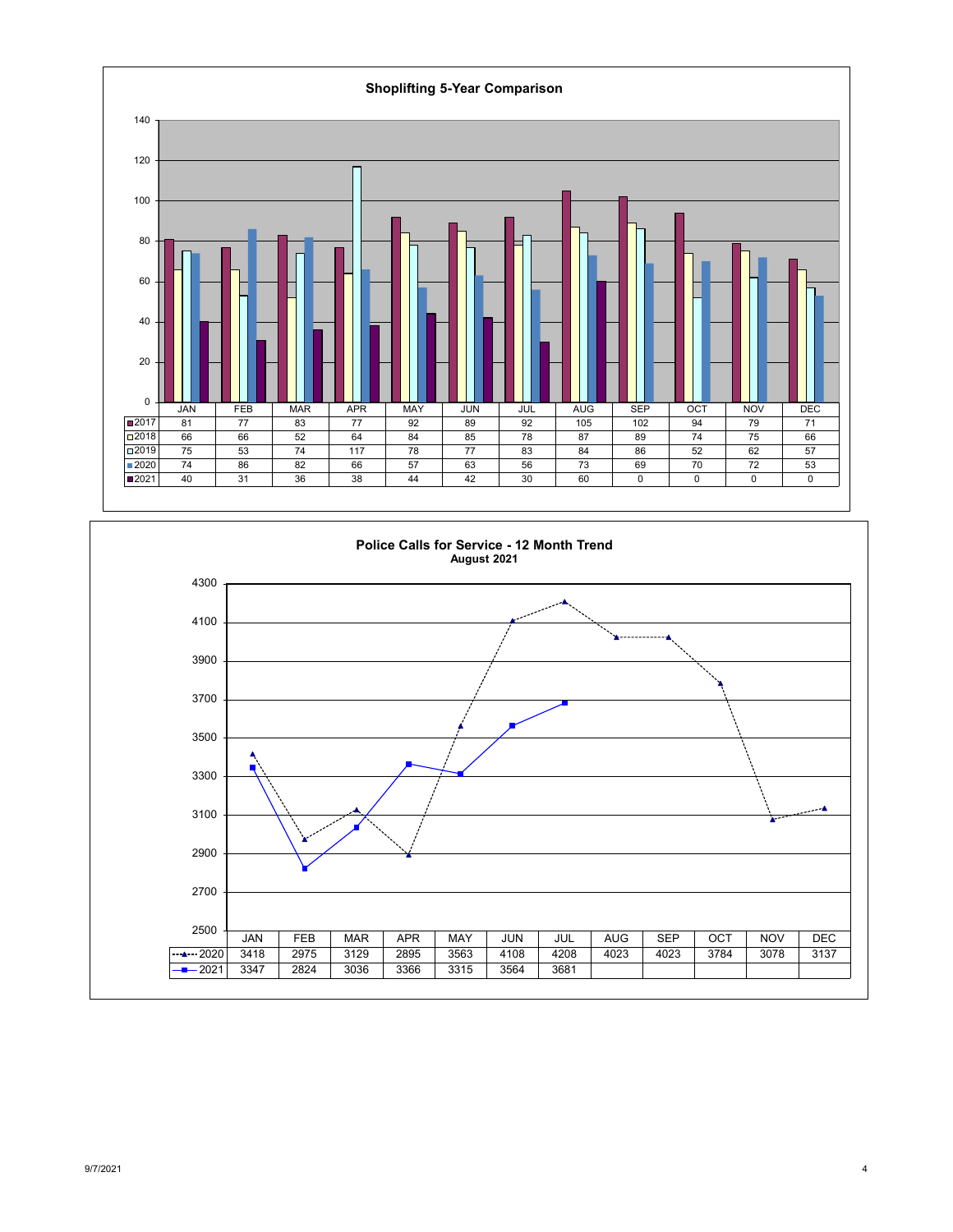

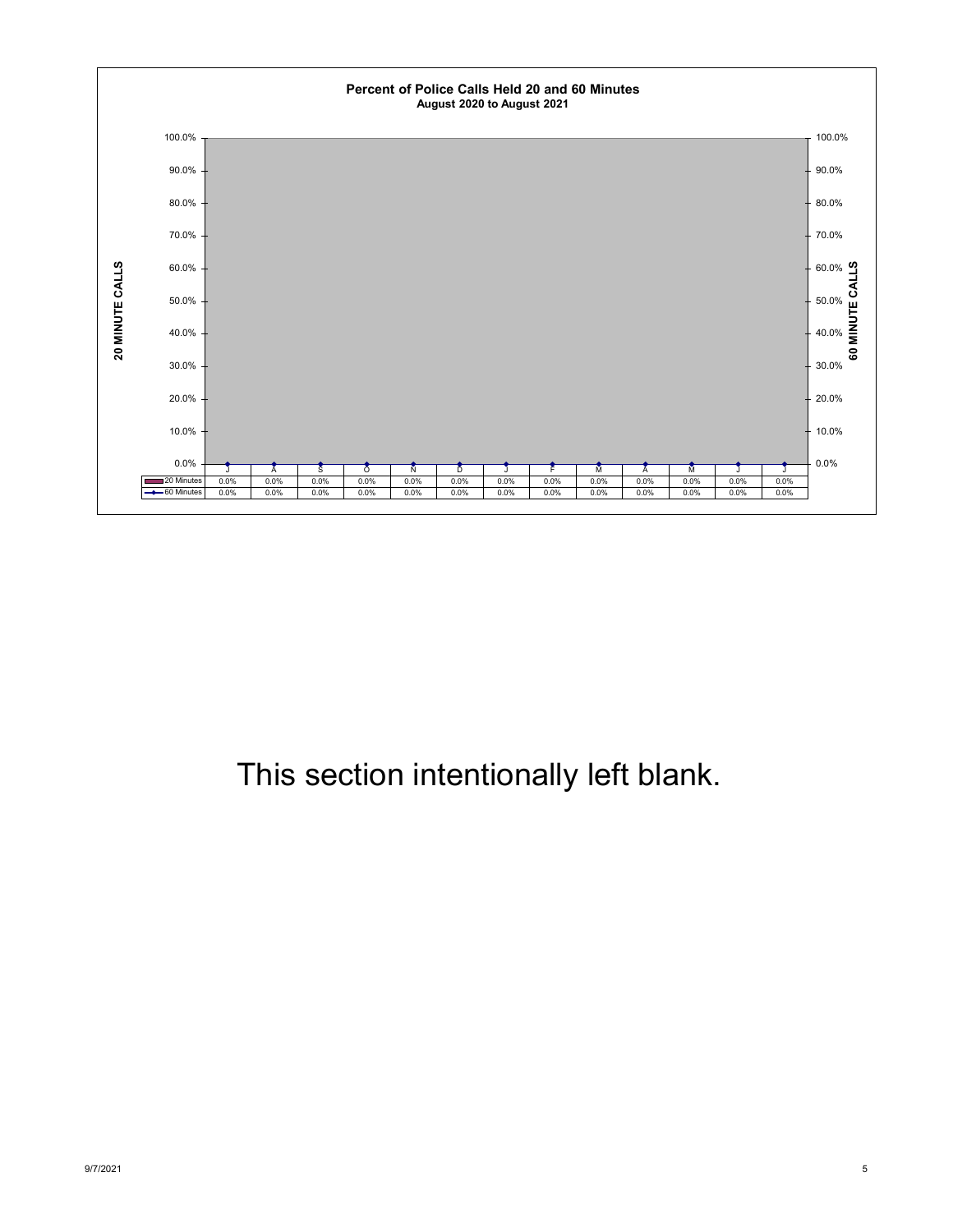

## This section intentionally left blank.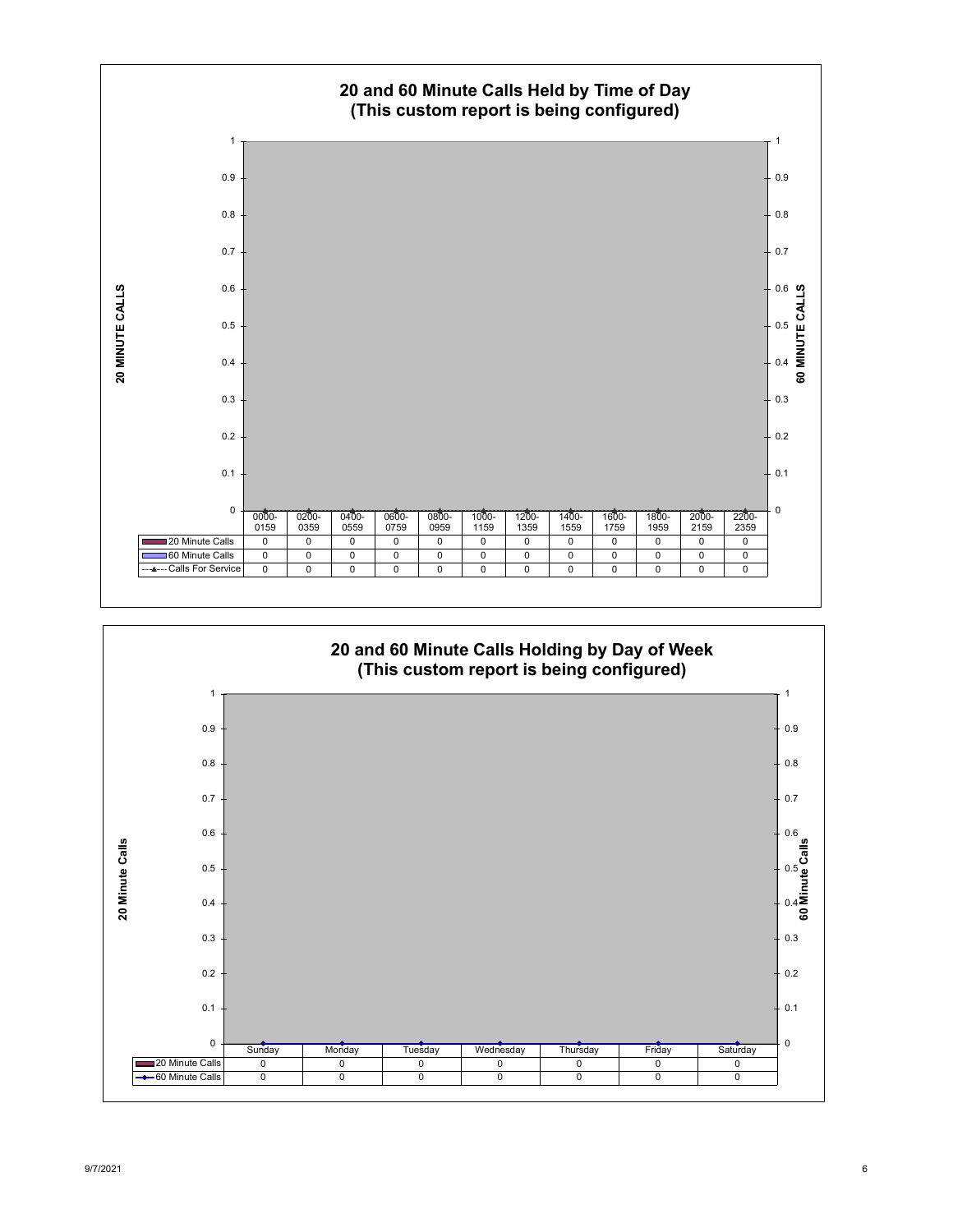

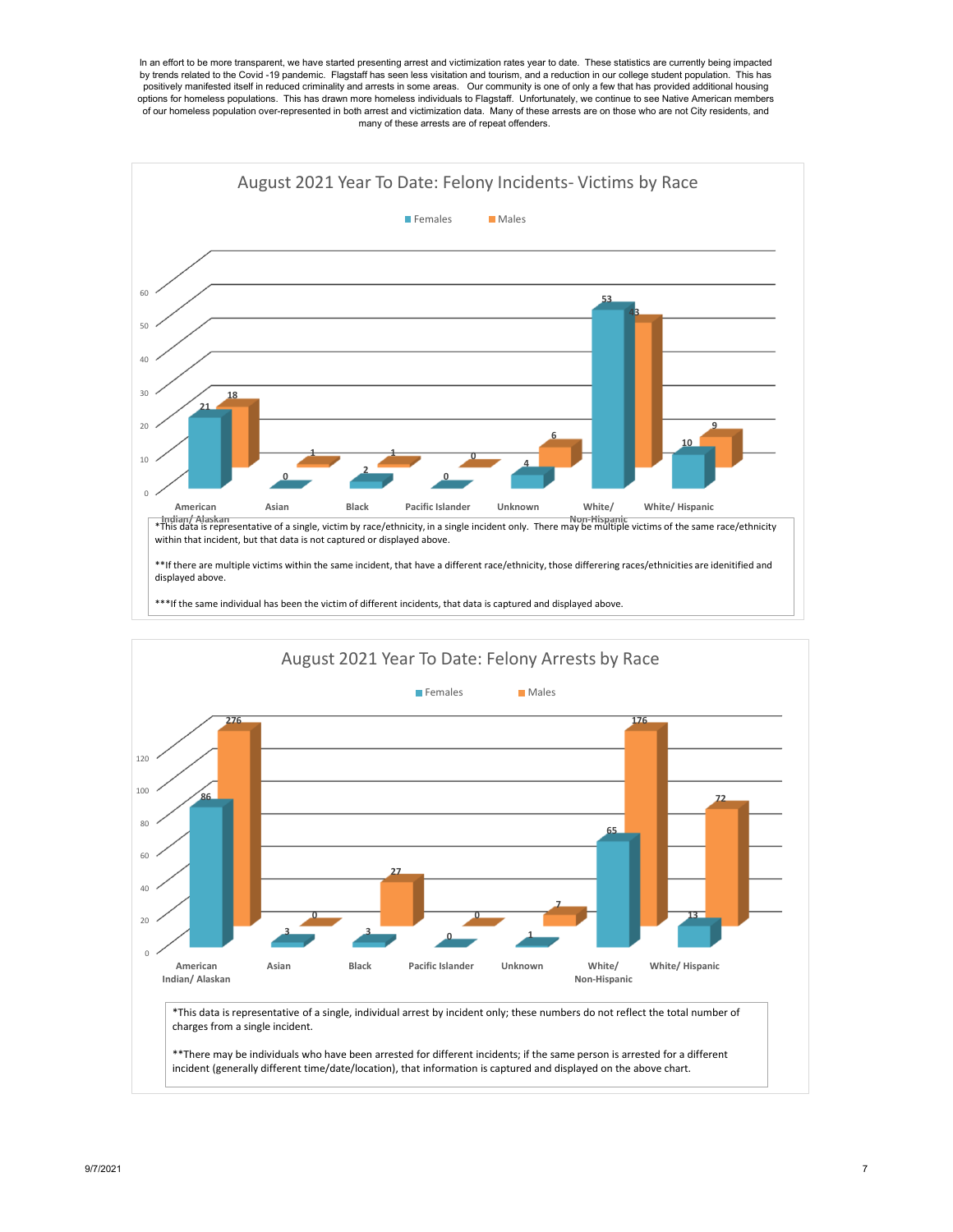In an effort to be more transparent, we have started presenting arrest and victimization rates year to date. These statistics are currently being impacted by trends related to the Covid -19 pandemic. Flagstaff has seen less visitation and tourism, and a reduction in our college student population. This has positively manifested itself in reduced criminality and arrests in some areas. Our community is one of only a few that has provided additional housing options for homeless populations. This has drawn more homeless individuals to Flagstaff. Unfortunately, we continue to see Native American members of our homeless population over-represented in both arrest and victimization data. Many of these arrests are on those who are not City residents, and many of these arrests are of repeat offenders.



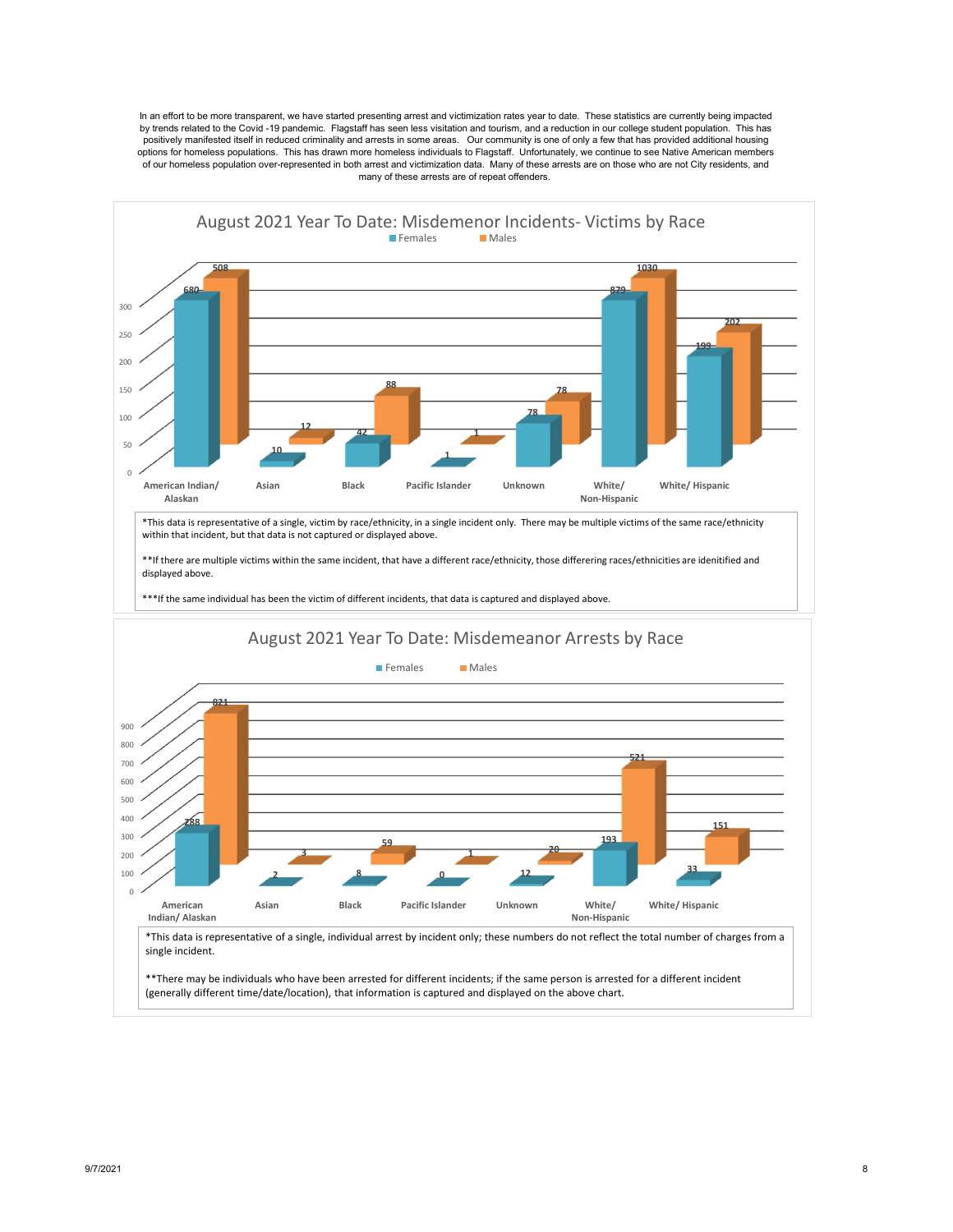In an effort to be more transparent, we have started presenting arrest and victimization rates year to date. These statistics are currently being impacted by trends related to the Covid -19 pandemic. Flagstaff has seen less visitation and tourism, and a reduction in our college student population. This has positively manifested itself in reduced criminality and arrests in some areas. Our community is one of only a few that has provided additional housing options for homeless populations. This has drawn more homeless individuals to Flagstaff. Unfortunately, we continue to see Native American members of our homeless population over-represented in both arrest and victimization data. Many of these arrests are on those who are not City residents, and many of these arrests are of repeat offenders.

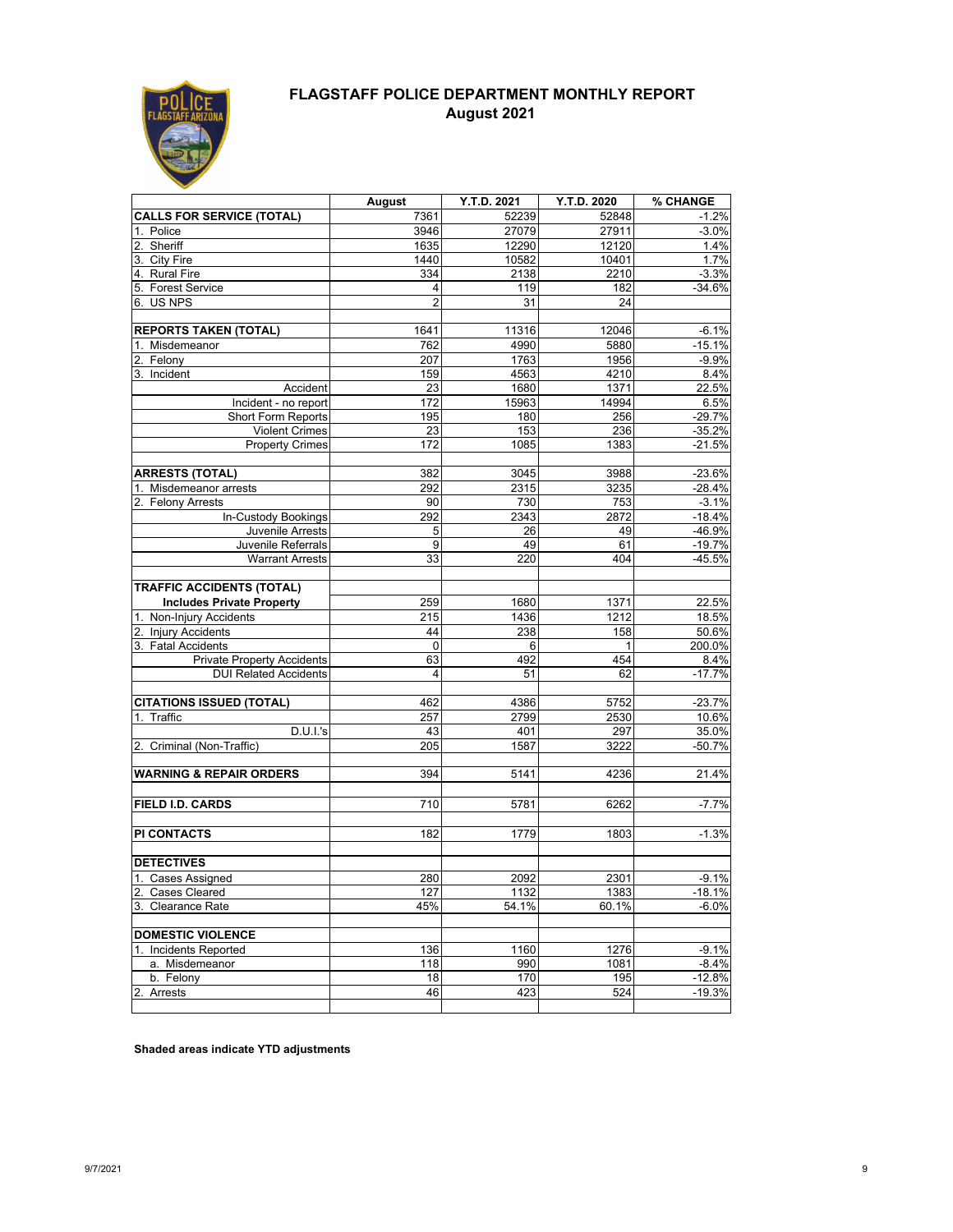

### **FLAGSTAFF POLICE DEPARTMENT MONTHLY REPORT August 2021**

|                                    | August         | Y.T.D. 2021 | Y.T.D. 2020  | % CHANGE             |
|------------------------------------|----------------|-------------|--------------|----------------------|
| <b>CALLS FOR SERVICE (TOTAL)</b>   | 7361           | 52239       | 52848        | $-1.2%$              |
| 1. Police                          | 3946           | 27079       | 27911        | $-3.0%$              |
| 2. Sheriff                         | 1635           | 12290       | 12120        | 1.4%                 |
| 3. City Fire                       | 1440           | 10582       | 10401        | 1.7%                 |
| 4. Rural Fire                      | 334            | 2138        | 2210         | $-3.3%$              |
| 5. Forest Service                  | 4              | 119         | 182          | $-34.6%$             |
| 6. US NPS                          | $\overline{2}$ | 31          | 24           |                      |
|                                    |                |             |              |                      |
| <b>REPORTS TAKEN (TOTAL)</b>       | 1641           | 11316       | 12046        | $-6.1%$              |
| 1. Misdemeanor                     | 762            | 4990        | 5880         | $-15.1%$             |
| 2. Felony                          | 207            | 1763        | 1956         | $-9.9%$              |
| 3. Incident                        | 159            | 4563        | 4210         | 8.4%                 |
| Accident                           | 23             | 1680        | 1371         | 22.5%                |
| Incident - no report               | 172            | 15963       | 14994        | 6.5%                 |
| Short Form Reports                 | 195            | 180         | 256          | $-29.7%$             |
| <b>Violent Crimes</b>              | 23             | 153         | 236          | $-35.2%$             |
| <b>Property Crimes</b>             | 172            | 1085        | 1383         | $-21.5%$             |
| <b>ARRESTS (TOTAL)</b>             | 382            | 3045        | 3988         | $-23.6%$             |
| 1. Misdemeanor arrests             | 292            | 2315        | 3235         | $-28.4%$             |
| 2. Felony Arrests                  | 90             | 730         | 753          | $-3.1%$              |
| In-Custody Bookings                | 292            | 2343        | 2872         | $-18.4%$             |
| Juvenile Arrests                   | 5              | 26          | 49           | -46.9%               |
| Juvenile Referrals                 | 9              | 49          | 61           | $-19.7%$             |
| <b>Warrant Arrests</b>             | 33             | 220         | 404          | $-45.5%$             |
|                                    |                |             |              |                      |
| <b>TRAFFIC ACCIDENTS (TOTAL)</b>   |                |             |              |                      |
| <b>Includes Private Property</b>   | 259            | 1680        | 1371         | 22.5%                |
| 1. Non-Injury Accidents            | 215            | 1436        | 1212         | 18.5%                |
| 2. Injury Accidents                | 44             | 238         | 158          | 50.6%                |
| 3. Fatal Accidents                 | $\mathbf 0$    | 6           | $\mathbf{1}$ | 200.0%               |
| <b>Private Property Accidents</b>  | 63             | 492         | 454          | 8.4%                 |
| <b>DUI Related Accidents</b>       | 4              | 51          | 62           | $-17.7%$             |
|                                    |                |             |              |                      |
| <b>CITATIONS ISSUED (TOTAL)</b>    | 462            | 4386        | 5752         | $-23.7%$             |
| 1. Traffic                         | 257            | 2799        | 2530         | 10.6%                |
| D.U.I.'s                           | 43             | 401         | 297          | 35.0%                |
| 2. Criminal (Non-Traffic)          | 205            | 1587        | 3222         | $-50.7%$             |
| <b>WARNING &amp; REPAIR ORDERS</b> | 394            | 5141        | 4236         | 21.4%                |
|                                    |                |             |              |                      |
| <b>FIELD I.D. CARDS</b>            | 710            | 5781        |              | $-7.7%$              |
|                                    |                |             | 6262         |                      |
| PI CONTACTS                        | 182            | 1779        | 1803         | $-1.3%$              |
|                                    |                |             |              |                      |
| <b>DETECTIVES</b>                  |                |             |              |                      |
| 1. Cases Assigned                  | 280            | 2092        | 2301         | $-9.1%$              |
| 2. Cases Cleared                   | 127            | 1132        | 1383         | -18.1%               |
| 3. Clearance Rate                  | 45%            | 54.1%       | 60.1%        | $-6.0%$              |
|                                    |                |             |              |                      |
| <b>DOMESTIC VIOLENCE</b>           |                |             |              |                      |
| 1. Incidents Reported              | 136            | 1160        | 1276         | $-9.1%$              |
| a. Misdemeanor                     | 118            | 990         | 1081         | $-8.4%$              |
| b. Felony                          | 18             | 170         | 195          | $-12.8%$<br>$-19.3%$ |
| 2. Arrests                         | 46             | 423         | 524          |                      |

**Shaded areas indicate YTD adjustments**